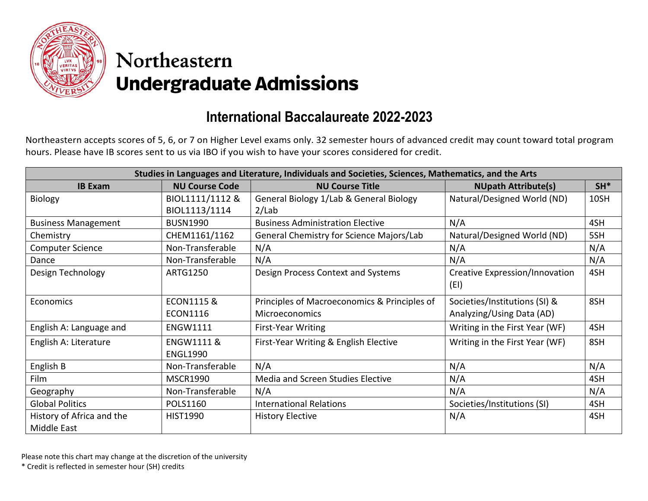

## Northeastern **Undergraduate Admissions**

## **International Baccalaureate 2022-2023**

Northeastern accepts scores of 5, 6, or 7 on Higher Level exams only. 32 semester hours of advanced credit may count toward total program hours. Please have IB scores sent to us via IBO if you wish to have your scores considered for credit.

| Studies in Languages and Literature, Individuals and Societies, Sciences, Mathematics, and the Arts |                       |                                              |                                |       |  |
|-----------------------------------------------------------------------------------------------------|-----------------------|----------------------------------------------|--------------------------------|-------|--|
| <b>IB Exam</b>                                                                                      | <b>NU Course Code</b> | <b>NU Course Title</b>                       | <b>NUpath Attribute(s)</b>     | $SH*$ |  |
| Biology                                                                                             | BIOL1111/1112 &       | General Biology 1/Lab & General Biology      | Natural/Designed World (ND)    | 10SH  |  |
|                                                                                                     | BIOL1113/1114         | 2/Lab                                        |                                |       |  |
| <b>Business Management</b>                                                                          | <b>BUSN1990</b>       | <b>Business Administration Elective</b>      | N/A                            | 4SH   |  |
| Chemistry                                                                                           | CHEM1161/1162         | General Chemistry for Science Majors/Lab     | Natural/Designed World (ND)    | 5SH   |  |
| <b>Computer Science</b>                                                                             | Non-Transferable      | N/A                                          | N/A                            | N/A   |  |
| Dance                                                                                               | Non-Transferable      | N/A                                          | N/A                            | N/A   |  |
| Design Technology                                                                                   | <b>ARTG1250</b>       | Design Process Context and Systems           | Creative Expression/Innovation | 4SH   |  |
|                                                                                                     |                       |                                              | (EI)                           |       |  |
| Economics                                                                                           | <b>ECON1115 &amp;</b> | Principles of Macroeconomics & Principles of | Societies/Institutions (SI) &  | 8SH   |  |
|                                                                                                     | <b>ECON1116</b>       | <b>Microeconomics</b>                        | Analyzing/Using Data (AD)      |       |  |
| English A: Language and                                                                             | <b>ENGW1111</b>       | <b>First-Year Writing</b>                    | Writing in the First Year (WF) | 4SH   |  |
| English A: Literature                                                                               | <b>ENGW1111 &amp;</b> | First-Year Writing & English Elective        | Writing in the First Year (WF) | 8SH   |  |
|                                                                                                     | <b>ENGL1990</b>       |                                              |                                |       |  |
| English B                                                                                           | Non-Transferable      | N/A                                          | N/A                            | N/A   |  |
| Film                                                                                                | <b>MSCR1990</b>       | Media and Screen Studies Elective            | N/A                            | 4SH   |  |
| Geography                                                                                           | Non-Transferable      | N/A                                          | N/A                            | N/A   |  |
| <b>Global Politics</b>                                                                              | <b>POLS1160</b>       | <b>International Relations</b>               | Societies/Institutions (SI)    | 4SH   |  |
| History of Africa and the                                                                           | <b>HIST1990</b>       | <b>History Elective</b>                      | N/A                            | 4SH   |  |
| Middle East                                                                                         |                       |                                              |                                |       |  |

Please note this chart may change at the discretion of the university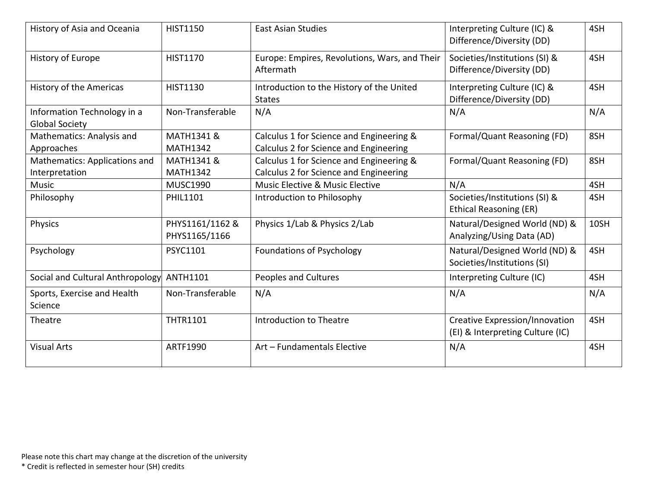| History of Asia and Oceania                          | <b>HIST1150</b>                  | <b>East Asian Studies</b>                                                          | Interpreting Culture (IC) &<br>Difference/Diversity (DD)           | 4SH  |
|------------------------------------------------------|----------------------------------|------------------------------------------------------------------------------------|--------------------------------------------------------------------|------|
| History of Europe                                    | <b>HIST1170</b>                  | Europe: Empires, Revolutions, Wars, and Their<br>Aftermath                         | Societies/Institutions (SI) &<br>Difference/Diversity (DD)         | 4SH  |
| <b>History of the Americas</b>                       | <b>HIST1130</b>                  | Introduction to the History of the United<br><b>States</b>                         | Interpreting Culture (IC) &<br>Difference/Diversity (DD)           | 4SH  |
| Information Technology in a<br><b>Global Society</b> | Non-Transferable                 | N/A                                                                                | N/A                                                                | N/A  |
| Mathematics: Analysis and<br>Approaches              | MATH1341 &<br><b>MATH1342</b>    | Calculus 1 for Science and Engineering &<br>Calculus 2 for Science and Engineering | Formal/Quant Reasoning (FD)                                        | 8SH  |
| Mathematics: Applications and<br>Interpretation      | MATH1341 &<br><b>MATH1342</b>    | Calculus 1 for Science and Engineering &<br>Calculus 2 for Science and Engineering | Formal/Quant Reasoning (FD)                                        | 8SH  |
| Music                                                | <b>MUSC1990</b>                  | Music Elective & Music Elective                                                    | N/A                                                                | 4SH  |
| Philosophy                                           | <b>PHIL1101</b>                  | Introduction to Philosophy                                                         | Societies/Institutions (SI) &<br><b>Ethical Reasoning (ER)</b>     | 4SH  |
| Physics                                              | PHYS1161/1162 &<br>PHYS1165/1166 | Physics 1/Lab & Physics 2/Lab                                                      | Natural/Designed World (ND) &<br>Analyzing/Using Data (AD)         | 10SH |
| Psychology                                           | PSYC1101                         | <b>Foundations of Psychology</b>                                                   | Natural/Designed World (ND) &<br>Societies/Institutions (SI)       | 4SH  |
| Social and Cultural Anthropology                     | ANTH1101                         | <b>Peoples and Cultures</b>                                                        | Interpreting Culture (IC)                                          | 4SH  |
| Sports, Exercise and Health<br>Science               | Non-Transferable                 | N/A                                                                                | N/A                                                                | N/A  |
| Theatre                                              | <b>THTR1101</b>                  | <b>Introduction to Theatre</b>                                                     | Creative Expression/Innovation<br>(EI) & Interpreting Culture (IC) | 4SH  |
| <b>Visual Arts</b>                                   | ARTF1990                         | Art - Fundamentals Elective                                                        | N/A                                                                | 4SH  |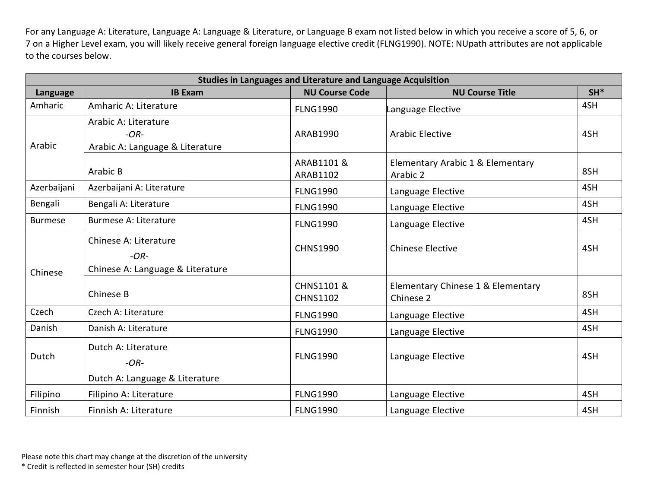For any Language A: Literature, Language A: Language & Literature, or Language B exam not listed below in which you receive a score of 5, 6, or 7 on a Higher Level exam, you will likely receive general foreign language elective credit (FLNG1990). NOTE: NUpath attributes are not applicable to the courses below.

| Studies in Languages and Literature and Language Acquisition |                                                                     |                               |                                                |       |  |
|--------------------------------------------------------------|---------------------------------------------------------------------|-------------------------------|------------------------------------------------|-------|--|
| Language                                                     | <b>IB Exam</b>                                                      | <b>NU Course Code</b>         | <b>NU Course Title</b>                         | $SH*$ |  |
| Amharic                                                      | Amharic A: Literature                                               | <b>FLNG1990</b>               | Language Elective                              | 4SH   |  |
| Arabic                                                       | Arabic A: Literature<br>$-OR-$<br>Arabic A: Language & Literature   | ARAB1990                      | <b>Arabic Elective</b>                         | 4SH   |  |
|                                                              | Arabic B                                                            | ARAB1101 &<br>ARAB1102        | Elementary Arabic 1 & Elementary<br>Arabic 2   | 8SH   |  |
| Azerbaijani                                                  | Azerbaijani A: Literature                                           | <b>FLNG1990</b>               | Language Elective                              | 4SH   |  |
| Bengali                                                      | Bengali A: Literature                                               | <b>FLNG1990</b>               | Language Elective                              | 4SH   |  |
| <b>Burmese</b>                                               | <b>Burmese A: Literature</b>                                        | <b>FLNG1990</b>               | Language Elective                              | 4SH   |  |
| Chinese                                                      | Chinese A: Literature<br>$-OR-$<br>Chinese A: Language & Literature | <b>CHNS1990</b>               | <b>Chinese Elective</b>                        | 4SH   |  |
|                                                              | Chinese B                                                           | CHNS1101 &<br><b>CHNS1102</b> | Elementary Chinese 1 & Elementary<br>Chinese 2 | 8SH   |  |
| Czech                                                        | Czech A: Literature                                                 | <b>FLNG1990</b>               | Language Elective                              | 4SH   |  |
| Danish                                                       | Danish A: Literature                                                | <b>FLNG1990</b>               | Language Elective                              | 4SH   |  |
| Dutch                                                        | Dutch A: Literature<br>$-OR-$<br>Dutch A: Language & Literature     | <b>FLNG1990</b>               | Language Elective                              | 4SH   |  |
| Filipino                                                     | Filipino A: Literature                                              | <b>FLNG1990</b>               | Language Elective                              | 4SH   |  |
| Finnish                                                      | Finnish A: Literature                                               | <b>FLNG1990</b>               | Language Elective                              | 4SH   |  |

Please note this chart may change at the discretion of the university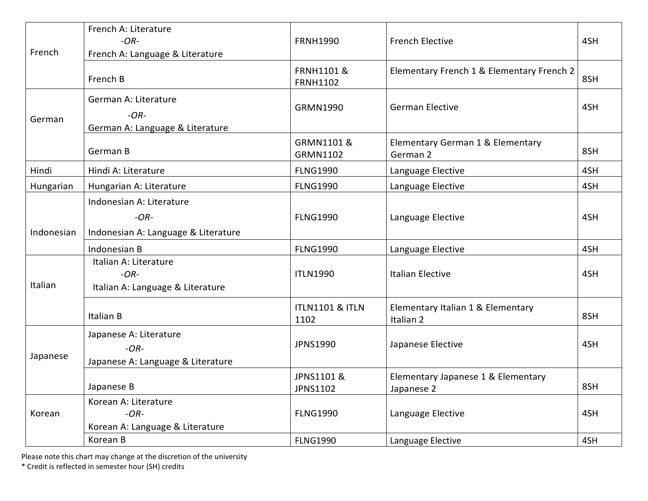| French     | French A: Literature<br>$-OR-$<br>French A: Language & Literature         | <b>FRNH1990</b>                          | <b>French Elective</b>                           | 4SH |
|------------|---------------------------------------------------------------------------|------------------------------------------|--------------------------------------------------|-----|
|            | French B                                                                  | <b>FRNH1101 &amp;</b><br><b>FRNH1102</b> | Elementary French 1 & Elementary French 2        | 8SH |
| German     | German A: Literature<br>$-OR-$<br>German A: Language & Literature         | <b>GRMN1990</b>                          | <b>German Elective</b>                           | 4SH |
|            | German B                                                                  | GRMN1101 &<br><b>GRMN1102</b>            | Elementary German 1 & Elementary<br>German 2     | 8SH |
| Hindi      | Hindi A: Literature                                                       | <b>FLNG1990</b>                          | Language Elective                                | 4SH |
| Hungarian  | Hungarian A: Literature                                                   | <b>FLNG1990</b>                          | Language Elective                                | 4SH |
| Indonesian | Indonesian A: Literature<br>$-OR-$<br>Indonesian A: Language & Literature | <b>FLNG1990</b>                          | Language Elective                                | 4SH |
|            | Indonesian B                                                              | <b>FLNG1990</b>                          | Language Elective                                | 4SH |
| Italian    | Italian A: Literature<br>$-OR-$<br>Italian A: Language & Literature       | <b>ITLN1990</b>                          | <b>Italian Elective</b>                          | 4SH |
|            | Italian B                                                                 | <b>ITLN1101 &amp; ITLN</b><br>1102       | Elementary Italian 1 & Elementary<br>Italian 2   | 8SH |
| Japanese   | Japanese A: Literature<br>$-OR-$<br>Japanese A: Language & Literature     | <b>JPNS1990</b>                          | Japanese Elective                                | 4SH |
|            | Japanese B                                                                | JPNS1101 &<br><b>JPNS1102</b>            | Elementary Japanese 1 & Elementary<br>Japanese 2 | 8SH |
| Korean     | Korean A: Literature<br>$-OR-$<br>Korean A: Language & Literature         | <b>FLNG1990</b>                          | Language Elective                                | 4SH |
|            | Korean B                                                                  | <b>FLNG1990</b>                          | Language Elective                                | 4SH |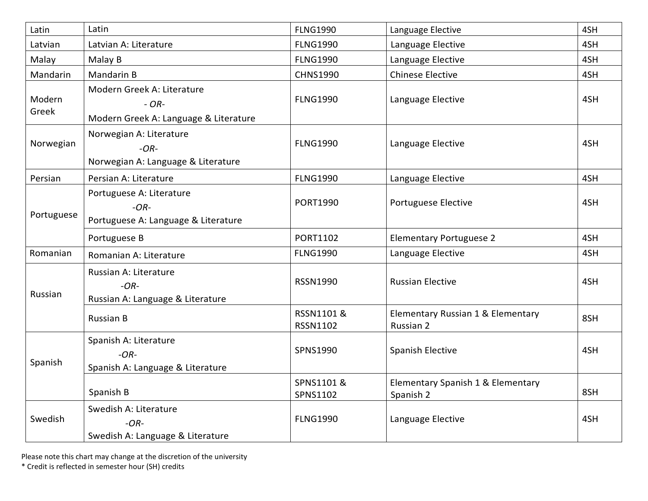| Latin           | Latin                                                                          | <b>FLNG1990</b>                  | Language Elective                              | 4SH |
|-----------------|--------------------------------------------------------------------------------|----------------------------------|------------------------------------------------|-----|
| Latvian         | Latvian A: Literature                                                          | <b>FLNG1990</b>                  | Language Elective                              | 4SH |
| Malay           | Malay B                                                                        | <b>FLNG1990</b>                  | Language Elective                              | 4SH |
| Mandarin        | Mandarin B                                                                     | <b>CHNS1990</b>                  | <b>Chinese Elective</b>                        | 4SH |
| Modern<br>Greek | Modern Greek A: Literature<br>$- OR-$<br>Modern Greek A: Language & Literature | <b>FLNG1990</b>                  | Language Elective                              | 4SH |
| Norwegian       | Norwegian A: Literature<br>$-OR-$<br>Norwegian A: Language & Literature        | <b>FLNG1990</b>                  | Language Elective                              | 4SH |
| Persian         | Persian A: Literature                                                          | <b>FLNG1990</b>                  | Language Elective                              | 4SH |
| Portuguese      | Portuguese A: Literature<br>$-OR-$<br>Portuguese A: Language & Literature      | <b>PORT1990</b>                  | Portuguese Elective                            | 4SH |
|                 | Portuguese B                                                                   | PORT1102                         | <b>Elementary Portuguese 2</b>                 | 4SH |
| Romanian        | Romanian A: Literature                                                         | <b>FLNG1990</b>                  | Language Elective                              | 4SH |
| Russian         | Russian A: Literature<br>$-OR-$<br>Russian A: Language & Literature            | RSSN1990                         | <b>Russian Elective</b>                        | 4SH |
|                 | <b>Russian B</b>                                                               | <b>RSSN1101&amp;</b><br>RSSN1102 | Elementary Russian 1 & Elementary<br>Russian 2 | 8SH |
| Spanish         | Spanish A: Literature<br>$-OR-$<br>Spanish A: Language & Literature            | SPNS1990                         | <b>Spanish Elective</b>                        | 4SH |
|                 | Spanish B                                                                      | SPNS1101 &<br>SPNS1102           | Elementary Spanish 1 & Elementary<br>Spanish 2 | 8SH |
| Swedish         | Swedish A: Literature<br>$-OR-$<br>Swedish A: Language & Literature            | <b>FLNG1990</b>                  | Language Elective                              | 4SH |